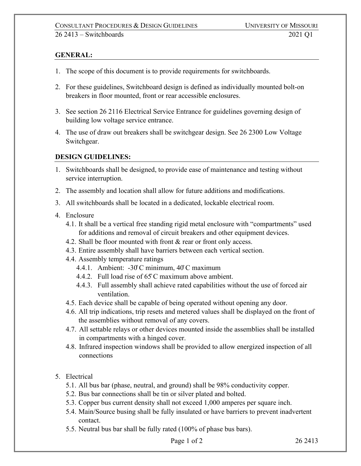## **GENERAL:**

- 1. The scope of this document is to provide requirements for switchboards.
- 2. For these guidelines, Switchboard design is defined as individually mounted bolt-on breakers in floor mounted, front or rear accessible enclosures.
- 3. See section 26 2116 Electrical Service Entrance for guidelines governing design of building low voltage service entrance.
- 4. The use of draw out breakers shall be switchgear design. See 26 2300 Low Voltage Switchgear.

## **DESIGN GUIDELINES:**

- 1. Switchboards shall be designed, to provide ease of maintenance and testing without service interruption.
- 2. The assembly and location shall allow for future additions and modifications.
- 3. All switchboards shall be located in a dedicated, lockable electrical room.
- 4. Enclosure
	- 4.1. It shall be a vertical free standing rigid metal enclosure with "compartments" used for additions and removal of circuit breakers and other equipment devices.
	- 4.2. Shall be floor mounted with front & rear or front only access.
	- 4.3. Entire assembly shall have barriers between each vertical section.
	- 4.4. Assembly temperature ratings
		- 4.4.1. Ambient: -30̊C minimum, 40̊C maximum
		- 4.4.2. Full load rise of 65̊C maximum above ambient.
		- 4.4.3. Full assembly shall achieve rated capabilities without the use of forced air ventilation.
	- 4.5. Each device shall be capable of being operated without opening any door.
	- 4.6. All trip indications, trip resets and metered values shall be displayed on the front of the assemblies without removal of any covers.
	- 4.7. All settable relays or other devices mounted inside the assemblies shall be installed in compartments with a hinged cover.
	- 4.8. Infrared inspection windows shall be provided to allow energized inspection of all connections
- 5. Electrical
	- 5.1. All bus bar (phase, neutral, and ground) shall be 98% conductivity copper.
	- 5.2. Bus bar connections shall be tin or silver plated and bolted.
	- 5.3. Copper bus current density shall not exceed 1,000 amperes per square inch.
	- 5.4. Main/Source busing shall be fully insulated or have barriers to prevent inadvertent contact.
	- 5.5. Neutral bus bar shall be fully rated (100% of phase bus bars).